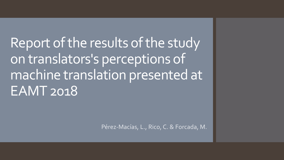Report of the results of the study on translators's perceptions of machine translation presented at EAMT 2018

Pérez-Macías, L., Rico, C. & Forcada, M.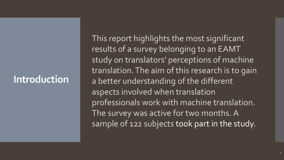#### **Introduction**

This report highlights the most significant results of a survey belonging to an EAMT study on translators' perceptions of machine translation. The aim of this research is to gain a better understanding of the different aspects involved when translation professionals work with machine translation. The survey was active for two months. A sample of 122 subjects took part in the study.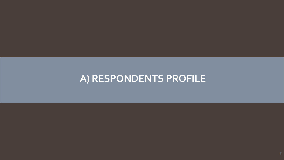## **A) RESPONDENTS PROFILE**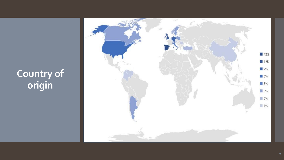## **Country of origin**

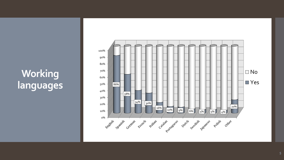# **Working languages**

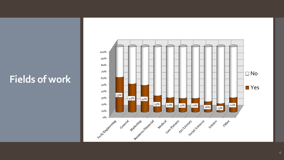### **Fields of work**

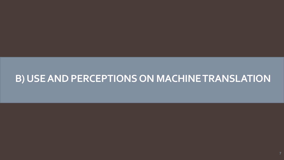#### **B) USE AND PERCEPTIONS ON MACHINE TRANSLATION**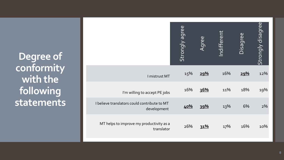**Degree of conformity with the following statements**

|                                                             | Strongly agree | Agree | Indifferent | Disagree | Strongly disagree |
|-------------------------------------------------------------|----------------|-------|-------------|----------|-------------------|
| I mistrust MT                                               | 15%            | 29%   | 16%         | 29%      | 12%               |
| I'm willing to accept PE jobs                               | 16%            | 36%   | 11%         | 18%      | 19%               |
| I believe translators could contribute to MT<br>development | 40%            | 39%   | 13%         | 6%       | $2\%$             |
| MT helps to improve my productivity as a<br>translator      | 26%            | 31%   | 17%         | 16%      | 10%               |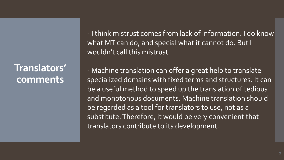**Translators' comments**

- I think mistrust comes from lack of information. I do know what MT can do, and special what it cannot do. But I wouldn't call this mistrust.

- Machine translation can offer a great help to translate specialized domains with fixed terms and structures. It can be a useful method to speed up the translation of tedious and monotonous documents. Machine translation should be regarded as a tool for translators to use, not as a substitute. Therefore, it would be very convenient that translators contribute to its development.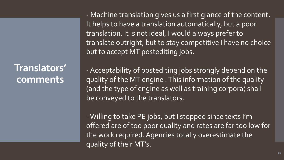**Translators' comments**

- Machine translation gives us a first glance of the content. It helps to have a translation automatically, but a poor translation. It is not ideal, I would always prefer to translate outright, but to stay competitive I have no choice but to accept MT postediting jobs.

-Acceptability of postediting jobs strongly depend on the quality of the MT engine . This information of the quality (and the type of engine as well as training corpora) shall be conveyed to the translators.

-Willing to take PE jobs, but I stopped since texts I'm offered are of too poor quality and rates are far too low for the work required. Agencies totally overestimate the quality of their MT's.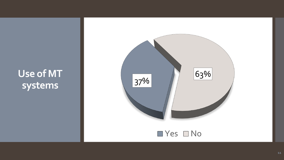**Use of MT**  systems 137%

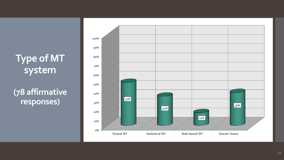# **Type of MT system**

**(78 affirmative responses)**

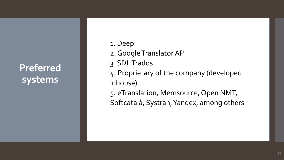**Preferred systems**

- 1. Deepl
- 2. Google Translator API
- 3. SDL Trados
- 4. Proprietary of the company (developed inhouse)
- 5. eTranslation, Memsource, Open NMT, Softcatalà, Systran, Yandex, among others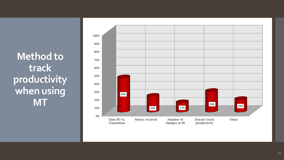**Method to track productivity when using MT**

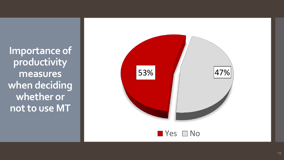**Importance of productivity measures when deciding whether or not to use MT**

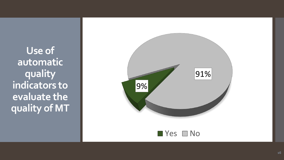**Use of automatic quality indicators to evaluate the quality of MT**

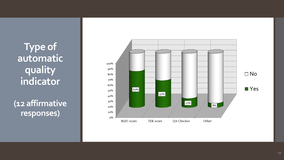**Type of automatic quality indicator**

**(12 affirmative responses)**

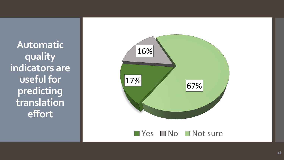**Automatic quality indicators are useful for predicting translation effort**

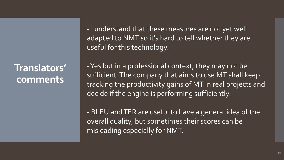**Translators' comments**

- I understand that these measures are not yet well adapted to NMT so it's hard to tell whether they are useful for this technology.

-Yes but in a professional context, they may not be sufficient. The company that aims to use MT shall keep tracking the productivity gains of MT in real projects and decide if the engine is performing sufficiently.

- BLEU and TER are useful to have a general idea of the overall quality, but sometimes their scores can be misleading especially for NMT.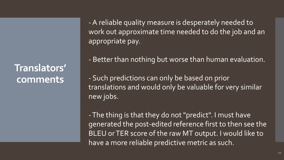**Translators' comments**

-A reliable quality measure is desperately needed to work out approximate time needed to do the job and an appropriate pay.

- Better than nothing but worse than human evaluation.

- Such predictions can only be based on prior translations and would only be valuable for very similar new jobs.

-The thing is that they do not "predict". I must have generated the post-edited reference first to then see the BLEU or TER score of the raw MT output. I would like to have a more reliable predictive metric as such.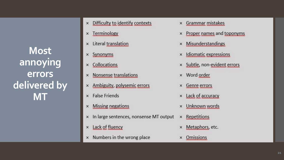**Most annoying errors delivered by MT**

- Difficulty to identify contexts  $\times$
- Terminology  $\times$
- Literal translation  $\times$
- Synonyms  $\times$
- Collocations  $\times$
- **Nonsense translations**  $\times$
- × Ambiguity, polysemic errors
- $\times$  False Friends
- **Missing negations**  $\times$
- x In large sentences, nonsense MT output
- Lack of fluency  $\times$
- $\times$  Numbers in the wrong place
- Grammar mistakes  $\times$
- Proper names and toponyms  $\times$
- **Misunderstandings**  $\pmb{\times}$
- **Idiomatic expressions**  $\times$
- Subtle, non-evident errors ×
- Word order  $\times$
- Genre errors  $\times$
- Lack of accuracy  $\times$
- Unknown words  $\times$
- Repetitions  $\times$
- Metaphors, etc. ×
- **Omissions**  $\times$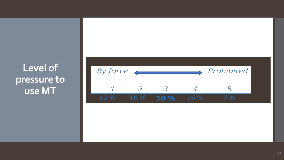## **Level of pressure to use MT**

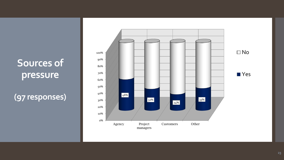## **Sources of pressure**

**(97 responses)**

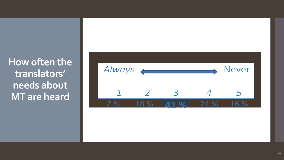**How often the translators' needs about MT are heard**